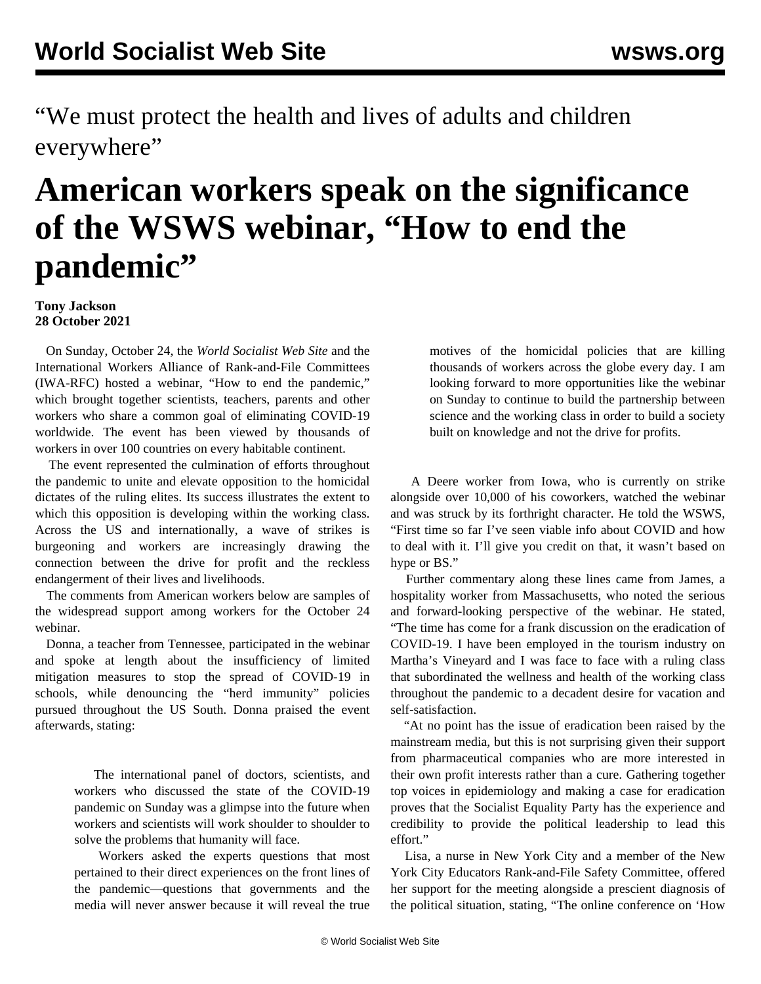"We must protect the health and lives of adults and children everywhere"

## **American workers speak on the significance of the WSWS webinar, "How to end the pandemic"**

## **Tony Jackson 28 October 2021**

 On Sunday, October 24, the *World Socialist Web Site* and the International Workers Alliance of Rank-and-File Committees (IWA-RFC) hosted a webinar, "How to end the pandemic," which brought together scientists, teachers, parents and other workers who share a common goal of eliminating COVID-19 worldwide. The event has been viewed by thousands of workers in over 100 countries on every habitable continent.

 The event represented the culmination of efforts throughout the pandemic to unite and elevate opposition to the homicidal dictates of the ruling elites. Its success illustrates the extent to which this opposition is developing within the working class. Across the US and internationally, a wave of strikes is burgeoning and workers are increasingly drawing the connection between the drive for profit and the reckless endangerment of their lives and livelihoods.

 The comments from American workers below are samples of the [widespread](/en/articles/2021/10/26/spnm-o26.html) support [among workers](/en/articles/2021/10/27/covi-o27.html) for the [October 24](/en/articles/2021/10/26/weuk-o26.html) [webinar](/en/articles/2021/10/26/weuk-o26.html).

 Donna, a teacher from Tennessee, participated in the webinar and spoke at length about the insufficiency of limited mitigation measures to stop the spread of COVID-19 in schools, while denouncing the "herd immunity" policies pursued throughout the US South. Donna praised the event afterwards, stating:

> The international panel of doctors, scientists, and workers who discussed the state of the COVID-19 pandemic on Sunday was a glimpse into the future when workers and scientists will work shoulder to shoulder to solve the problems that humanity will face.

> Workers asked the experts questions that most pertained to their direct experiences on the front lines of the pandemic—questions that governments and the media will never answer because it will reveal the true

motives of the homicidal policies that are killing thousands of workers across the globe every day. I am looking forward to more opportunities like the webinar on Sunday to continue to build the partnership between science and the working class in order to build a society built on knowledge and not the drive for profits.

 A Deere worker from Iowa, who is [currently on strike](/en/articles/2021/10/27/deer-o27.html) alongside over 10,000 of his coworkers, watched the webinar and was struck by its forthright character. He told the WSWS, "First time so far I've seen viable info about COVID and how to deal with it. I'll give you credit on that, it wasn't based on hype or BS."

 Further commentary along these lines came from James, a hospitality worker from Massachusetts, who noted the serious and forward-looking perspective of the webinar. He stated, "The time has come for a frank discussion on the eradication of COVID-19. I have been employed in the tourism industry on Martha's Vineyard and I was face to face with a ruling class that subordinated the wellness and health of the working class throughout the pandemic to a decadent desire for vacation and self-satisfaction.

 "At no point has the issue of eradication been raised by the mainstream media, but this is not surprising given their support from pharmaceutical companies who are more interested in their own profit interests rather than a cure. Gathering together top voices in epidemiology and making a case for eradication proves that the Socialist Equality Party has the experience and credibility to provide the political leadership to lead this effort."

 Lisa, a nurse in New York City and a member of the New York City Educators Rank-and-File Safety Committee, offered her support for the meeting alongside a prescient diagnosis of the political situation, stating, "The online conference on 'How